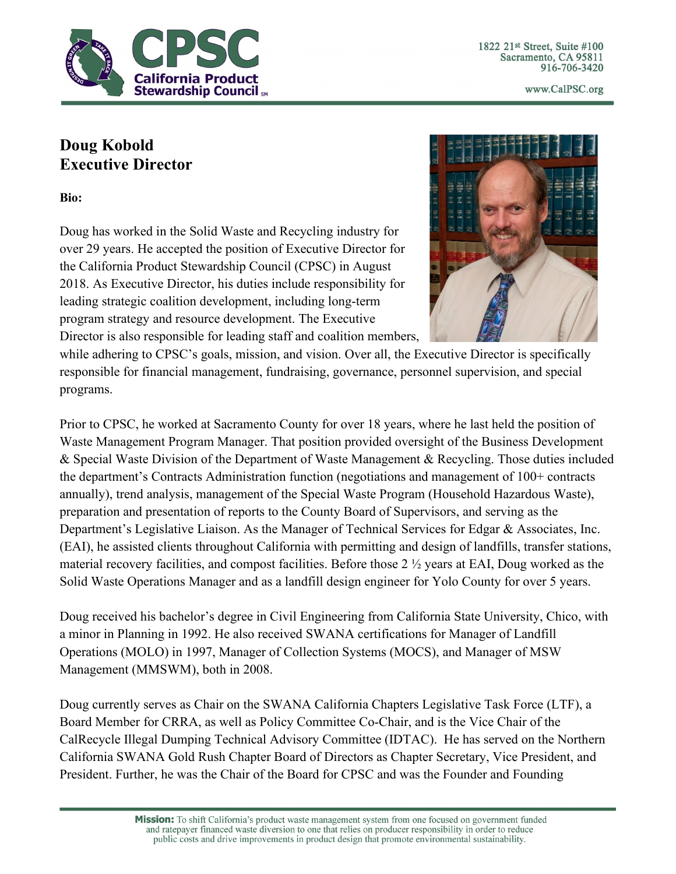

1822 21st Street, Suite #100 Sacramento, CA 95811 916-706-3420

www.CalPSC.org

## **Doug Kobold Executive Director**

**Bio:**

Doug has worked in the Solid Waste and Recycling industry for over 29 years. He accepted the position of Executive Director for the California Product Stewardship Council (CPSC) in August 2018. As Executive Director, his duties include responsibility for leading strategic coalition development, including long-term program strategy and resource development. The Executive Director is also responsible for leading staff and coalition members,



while adhering to CPSC's goals, mission, and vision. Over all, the Executive Director is specifically responsible for financial management, fundraising, governance, personnel supervision, and special programs.

Prior to CPSC, he worked at Sacramento County for over 18 years, where he last held the position of Waste Management Program Manager. That position provided oversight of the Business Development & Special Waste Division of the Department of Waste Management & Recycling. Those duties included the department's Contracts Administration function (negotiations and management of 100+ contracts annually), trend analysis, management of the Special Waste Program (Household Hazardous Waste), preparation and presentation of reports to the County Board of Supervisors, and serving as the Department's Legislative Liaison. As the Manager of Technical Services for Edgar & Associates, Inc. (EAI), he assisted clients throughout California with permitting and design of landfills, transfer stations, material recovery facilities, and compost facilities. Before those 2 ½ years at EAI, Doug worked as the Solid Waste Operations Manager and as a landfill design engineer for Yolo County for over 5 years.

Doug received his bachelor's degree in Civil Engineering from California State University, Chico, with a minor in Planning in 1992. He also received SWANA certifications for Manager of Landfill Operations (MOLO) in 1997, Manager of Collection Systems (MOCS), and Manager of MSW Management (MMSWM), both in 2008.

Doug currently serves as Chair on the SWANA California Chapters Legislative Task Force (LTF), a Board Member for CRRA, as well as Policy Committee Co-Chair, and is the Vice Chair of the CalRecycle Illegal Dumping Technical Advisory Committee (IDTAC). He has served on the Northern California SWANA Gold Rush Chapter Board of Directors as Chapter Secretary, Vice President, and President. Further, he was the Chair of the Board for CPSC and was the Founder and Founding